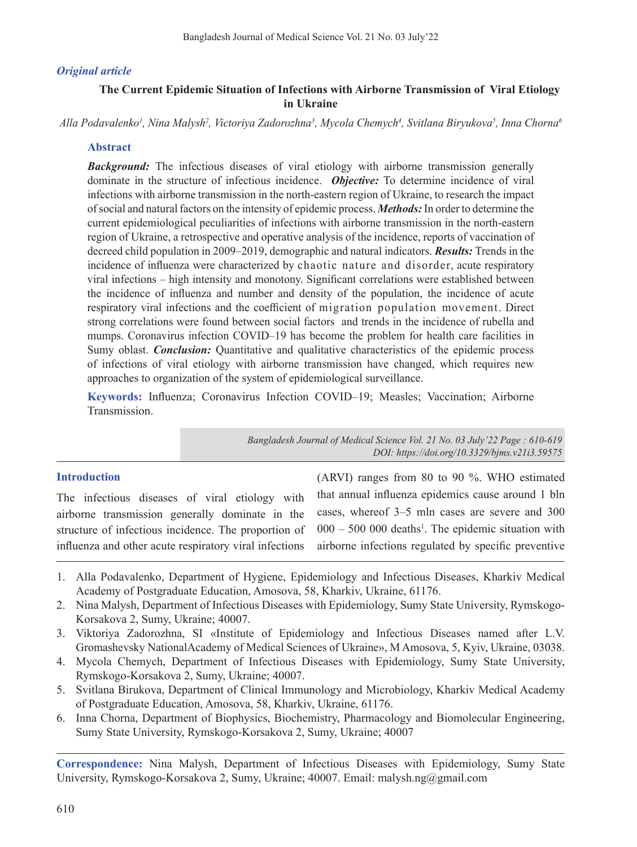## *Original article*

## **The Current Epidemic Situation of Infections with Airborne Transmission of Viral Etiology in Ukraine**

*Alla Podavalenko1 , Nina Malysh2 , Victoriya Zadorozhna3 , Mycola Chemych4 , Svitlana Biryukova5 , Inna Chorna6*

## **Abstract**

**Background:** The infectious diseases of viral etiology with airborne transmission generally dominate in the structure of infectious incidence. *Objective:* To determine incidence of viral infections with airborne transmission in the north-eastern region of Ukraine, to research the impact of social and natural factors on the intensity of epidemic process. *Methods:* In order to determine the current epidemiological peculiarities of infections with airborne transmission in the north-eastern region of Ukraine, a retrospective and operative analysis of the incidence, reports of vaccination of decreed child population in 2009–2019, demographic and natural indicators. *Results:* Trends in the incidence of influenza were characterized by chaotic nature and disorder, acute respiratory viral infections – high intensity and monotony. Significant correlations were established between the incidence of influenza and number and density of the population, the incidence of acute respiratory viral infections and the coefficient of migration population movement. Direct strong correlations were found between social factors and trends in the incidence of rubella and mumps. Coronavirus infection COVID–19 has become the problem for health care facilities in Sumy oblast. *Conclusion:* Quantitative and qualitative characteristics of the epidemic process of infections of viral etiology with airborne transmission have changed, which requires new approaches to organization of the system of epidemiological surveillance.

**Keywords:** Influenza; Coronavirus Infection COVID–19; Measles; Vaccination; Airborne Transmission.

> *Bangladesh Journal of Medical Science Vol. 21 No. 03 July'22 Page : 610-619 DOI: https://doi.org/10.3329/bjms.v21i3.59575*

## **Introduction**

The infectious diseases of viral etiology with airborne transmission generally dominate in the structure of infectious incidence. The proportion of influenza and other acute respiratory viral infections

(ARVI) ranges from 80 to 90 %. WHO estimated that annual influenza epidemics cause around 1 bln cases, whereof 3–5 mln cases are severe and 300  $000 - 500000$  deaths<sup>1</sup>. The epidemic situation with airborne infections regulated by specific preventive

- 1. Alla Podavalenko, Department of Hygiene, Epidemiology and Infectious Diseases, Kharkiv Medical Academy of Postgraduate Education, Amosova, 58, Kharkiv, Ukraine, 61176.
- 2. Nina Malysh, Department of Infectious Diseases with Epidemiology, Sumy State University, Rymskogo-Korsakova 2, Sumy, Ukraine; 40007.
- 3. Viktoriya Zadorozhna, SI «Institute of Epidemiology and Infectious Diseases named after L.V. Gromashevsky NationalAcademy of Medical Sciences of Ukraine», M Amosova, 5, Kyiv, Ukraine, 03038.
- 4. Mycola Chemych, Department of Infectious Diseases with Epidemiology, Sumy State University, Rymskogo-Korsakova 2, Sumy, Ukraine; 40007.
- 5. Svitlana Birukova, Department of Clinical Immunology and Microbiology, Kharkiv Medical Academy of Postgraduate Education, Amosova, 58, Kharkiv, Ukraine, 61176.
- 6. Inna Chorna, Department of Biophysics, Biochemistry, Pharmacology and Biomolecular Engineering, Sumy State University, Rymskogo-Korsakova 2, Sumy, Ukraine; 40007

**Correspondence:** Nina Malysh, Department of Infectious Diseases with Epidemiology, Sumy State University, Rymskogo-Korsakova 2, Sumy, Ukraine; 40007. Email: malysh.ng@gmail.com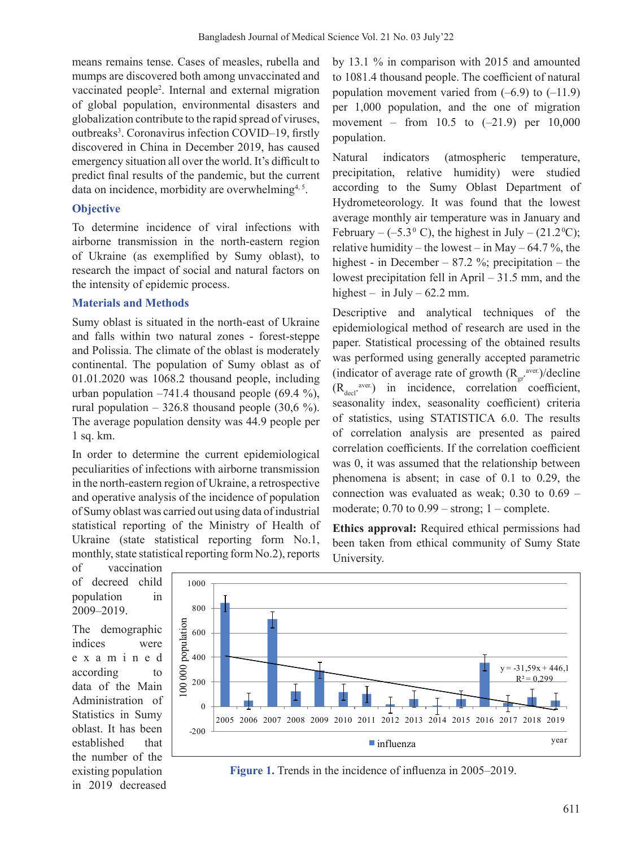means remains tense. Cases of measles, rubella and mumps are discovered both among unvaccinated and vaccinated people<sup>2</sup>. Internal and external migration of global population, environmental disasters and globalization contribute to the rapid spread of viruses, outbreaks<sup>3</sup>. Coronavirus infection COVID-19, firstly discovered in China in December 2019, has caused emergency situation all over the world. It's difficult to predict final results of the pandemic, but the current data on incidence, morbidity are overwhelming<sup>4, 5</sup>.

## **Objective**

To determine incidence of viral infections with airborne transmission in the north-eastern region of Ukraine (as exemplified by Sumy oblast), to research the impact of social and natural factors on the intensity of epidemic process.

## **Materials and Methods**

Sumy oblast is situated in the north-east of Ukraine and falls within two natural zones - forest-steppe and Polissia. The climate of the oblast is moderately continental. The population of Sumy oblast as of 01.01.2020 was 1068.2 thousand people, including urban population  $-741.4$  thousand people (69.4 %), rural population  $-326.8$  thousand people (30,6 %). The average population density was 44.9 people per 1 sq. km.

In order to determine the current epidemiological peculiarities of infections with airborne transmission in the north-eastern region of Ukraine, a retrospective and operative analysis of the incidence of population of Sumy oblast was carried out using data of industrial statistical reporting of the Ministry of Health of Ukraine (state statistical reporting form No.1, monthly, state statistical reporting form No.2), reports

by 13.1 % in comparison with 2015 and amounted to 1081.4 thousand people. The coefficient of natural population movement varied from  $(-6.9)$  to  $(-11.9)$ per 1,000 population, and the one of migration movement – from 10.5 to  $(-21.9)$  per 10,000 population.

Natural indicators (atmospheric temperature, precipitation, relative humidity) were studied according to the Sumy Oblast Department of Hydrometeorology. It was found that the lowest average monthly air temperature was in January and February –  $(-5.3^{\circ} \text{ C})$ , the highest in July –  $(21.2^{\circ} \text{C})$ ; relative humidity – the lowest – in May –  $64.7$ %, the highest - in December – 87.2 %; precipitation – the lowest precipitation fell in April  $-31.5$  mm, and the highest  $-$  in July  $-62.2$  mm.

Descriptive and analytical techniques of the epidemiological method of research are used in the paper. Statistical processing of the obtained results was performed using generally accepted parametric (indicator of average rate of growth  $(R_{gr}^{area})/decline$  $(R_{\text{decl}}^{user.})$  in incidence, correlation coefficient, seasonality index, seasonality coefficient) criteria of statistics, using STATISTICA 6.0. The results of correlation analysis are presented as paired correlation coefficients. If the correlation coefficient was 0, it was assumed that the relationship between phenomena is absent; in case of 0.1 to 0.29, the connection was evaluated as weak; 0.30 to 0.69 – moderate;  $0.70$  to  $0.99$  – strong;  $1$  – complete.

**Ethics approval:** Required ethical permissions had been taken from ethical community of Sumy State

of vaccination of decreed child population in 2009‒2019.

The demographic indices were examined according to data of the Main Administration of Statistics in Sumy oblast. It has been established that the number of the existing population in 2019 decreased



University.

**Figure 1.** Trends in the incidence of influenza in 2005–2019.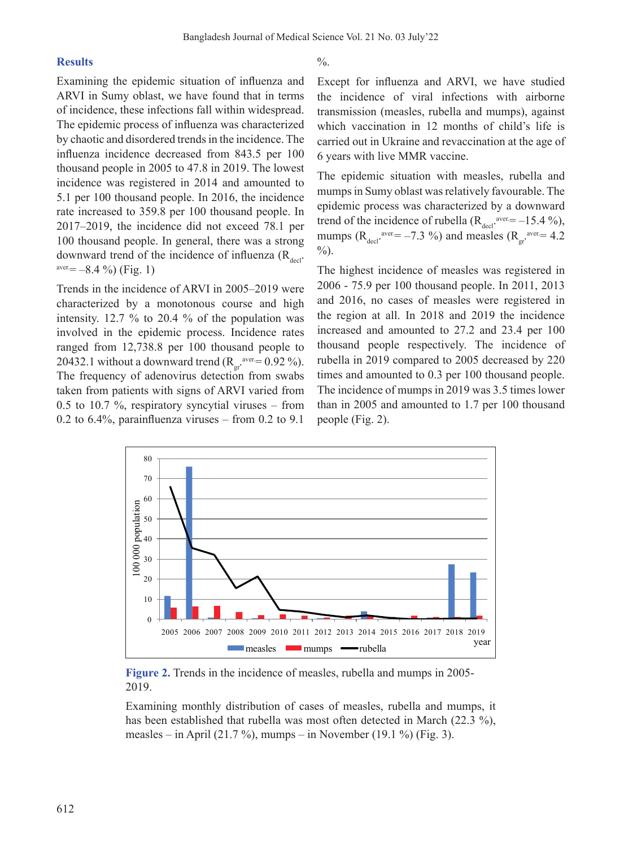#### **Results**

Examining the epidemic situation of influenza and ARVI in Sumy oblast, we have found that in terms of incidence, these infections fall within widespread. The epidemic process of influenza was characterized by chaotic and disordered trends in the incidence. The influenza incidence decreased from 843.5 per 100 thousand people in 2005 to 47.8 in 2019. The lowest incidence was registered in 2014 and amounted to 5.1 per 100 thousand people. In 2016, the incidence rate increased to 359.8 per 100 thousand people. In 2017‒2019, the incidence did not exceed 78.1 per 100 thousand people. In general, there was a strong downward trend of the incidence of influenza  $(R_{\text{decl}} \cdot \text{aver} = -8.4 \%)$  (Fig. 1)

Trends in the incidence of ARVI in 2005–2019 were characterized by a monotonous course and high intensity. 12.7 % to 20.4 % of the population was involved in the epidemic process. Incidence rates ranged from 12,738.8 per 100 thousand people to 20432.1 without a downward trend  $(R_{gr}^{area} = 0.92\%)$ . The frequency of adenovirus detection from swabs taken from patients with signs of ARVI varied from 0.5 to 10.7 %, respiratory syncytial viruses  $-$  from 0.2 to 6.4%, parainfluenza viruses  $-$  from 0.2 to 9.1

 $\frac{0}{6}$ .

Except for influenza and ARVI, we have studied the incidence of viral infections with airborne transmission (measles, rubella and mumps), against which vaccination in 12 months of child's life is carried out in Ukraine and revaccination at the age of 6 years with live MMR vaccine.

The epidemic situation with measles, rubella and mumps in Sumy oblast was relatively favourable. The epidemic process was characterized by a downward trend of the incidence of rubella  $(R_{\text{decl}}^{\text{aver}}=15.4\%)$ , mumps ( $R_{\text{decl}}$ <sup>aver.</sup>= -7.3 %) and measles ( $R_{\text{gr}}$ <sup>aver.</sup>= 4.2  $\%$ ).

The highest incidence of measles was registered in 2006 - 75.9 per 100 thousand people. In 2011, 2013 and 2016, no cases of measles were registered in the region at all. In 2018 and 2019 the incidence increased and amounted to 27.2 and 23.4 per 100 thousand people respectively. The incidence of rubella in 2019 compared to 2005 decreased by 220 times and amounted to 0.3 per 100 thousand people. The incidence of mumps in 2019 was 3.5 times lower than in 2005 and amounted to 1.7 per 100 thousand people (Fig. 2).



**Figure 2.** Trends in the incidence of measles, rubella and mumps in 2005- 2019.

Examining monthly distribution of cases of measles, rubella and mumps, it has been established that rubella was most often detected in March (22.3 %), measles – in April (21.7 %), mumps – in November (19.1 %) (Fig. 3).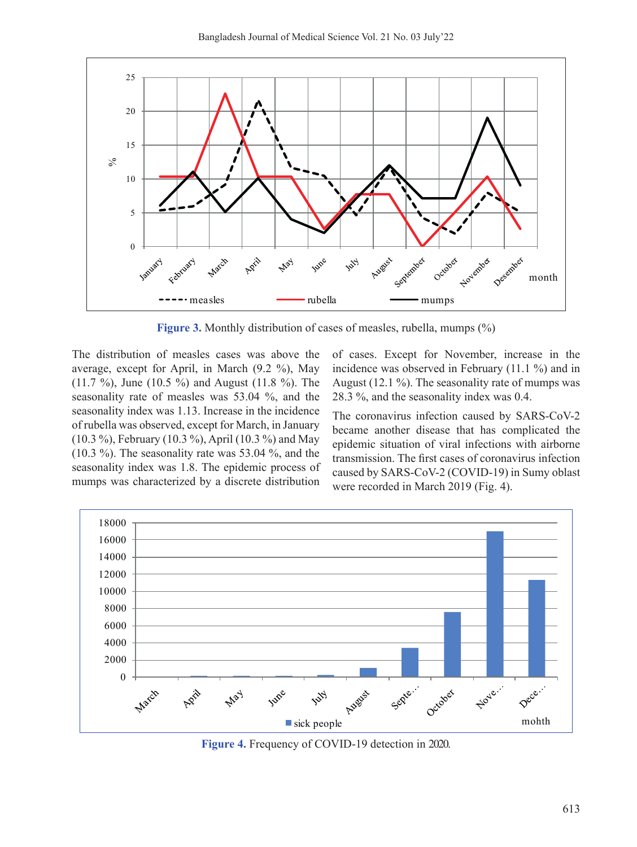

**Figure 3.** Monthly distribution of cases of measles, rubella, mumps  $(\%)$ 

The distribution of measles cases was above the average, except for April, in March (9.2 %), May (11.7 %), June (10.5 %) and August (11.8 %). The seasonality rate of measles was 53.04 %, and the seasonality index was 1.13. Increase in the incidence of rubella was observed, except for March, in January (10.3 %), February (10.3 %), April (10.3 %) and May (10.3 %). The seasonality rate was 53.04 %, and the seasonality index was 1.8. The epidemic process of mumps was characterized by a discrete distribution

of cases. Except for November, increase in the incidence was observed in February (11.1 %) and in August (12.1 %). The seasonality rate of mumps was 28.3 %, and the seasonality index was 0.4.

The coronavirus infection caused by SARS-CoV-2 became another disease that has complicated the epidemic situation of viral infections with airborne transmission. The first cases of coronavirus infection caused by SARS-CoV-2 (COVID-19) in Sumy oblast were recorded in March 2019 (Fig. 4).



**Figure 4.** Frequency of COVID-19 detection in 2020.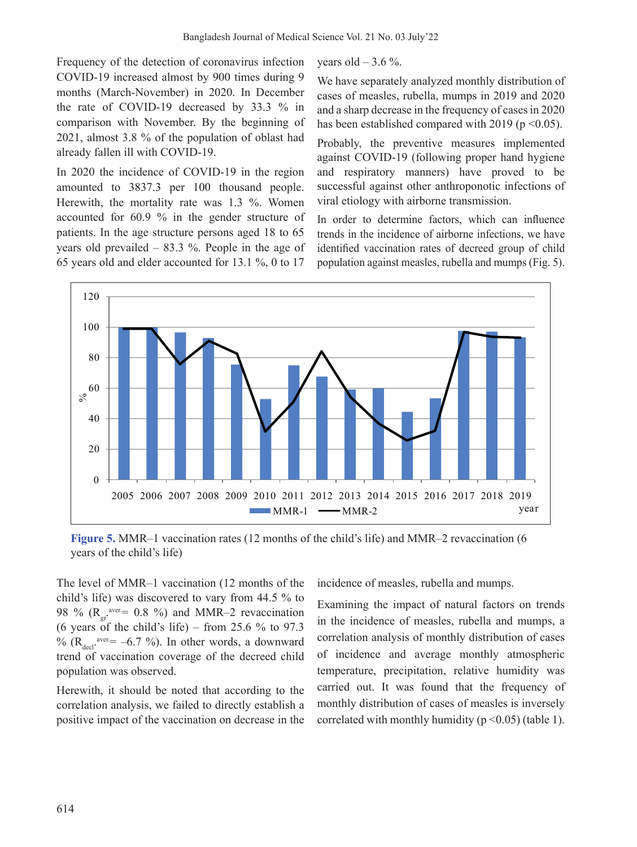Frequency of the detection of coronavirus infection COVID-19 increased almost by 900 times during 9 months (March-November) in 2020. In December the rate of COVID-19 decreased by 33.3 % in comparison with November. By the beginning of 2021, almost 3.8 % of the population of oblast had already fallen ill with COVID-19.

In 2020 the incidence of COVID-19 in the region amounted to 3837.3 per 100 thousand people. Herewith, the mortality rate was 1.3 %. Women accounted for 60.9 % in the gender structure of patients. In the age structure persons aged 18 to 65 years old prevailed – 83.3 %. People in the age of 65 years old and elder accounted for 13.1 %, 0 to 17 years old  $-3.6\%$ .

We have separately analyzed monthly distribution of cases of measles, rubella, mumps in 2019 and 2020 and a sharp decrease in the frequency of casesin 2020 has been established compared with 2019 ( $p \le 0.05$ ).

Probably, the preventive measures implemented against COVID-19 (following proper hand hygiene and respiratory manners) have proved to be successful against other anthroponotic infections of viral etiology with airborne transmission.

In order to determine factors, which can influence trends in the incidence of airborne infections, we have identified vaccination rates of decreed group of child population against measles, rubella and mumps (Fig. 5).



**Figure 5.** MMR–1 vaccination rates (12 months of the child's life) and MMR–2 revaccination (6 years of the child's life)

The level of MMR–1 vaccination (12 months of the child's life) was discovered to vary from 44.5 % to 98 % ( $R_{gr}^{\text{aver}} = 0.8$  %) and MMR-2 revaccination (6 years of the child's life) – from 25.6 % to 97.3 % ( $R_{\text{decl}}$ <sup>aver.</sup> = -6.7 %). In other words, a downward trend of vaccination coverage of the decreed child population was observed.

Herewith, it should be noted that according to the correlation analysis, we failed to directly establish a positive impact of the vaccination on decrease in the incidence of measles, rubella and mumps.

Examining the impact of natural factors on trends in the incidence of measles, rubella and mumps, a correlation analysis of monthly distribution of cases of incidence and average monthly atmospheric temperature, precipitation, relative humidity was carried out. It was found that the frequency of monthly distribution of cases of measles is inversely correlated with monthly humidity ( $p \le 0.05$ ) (table 1).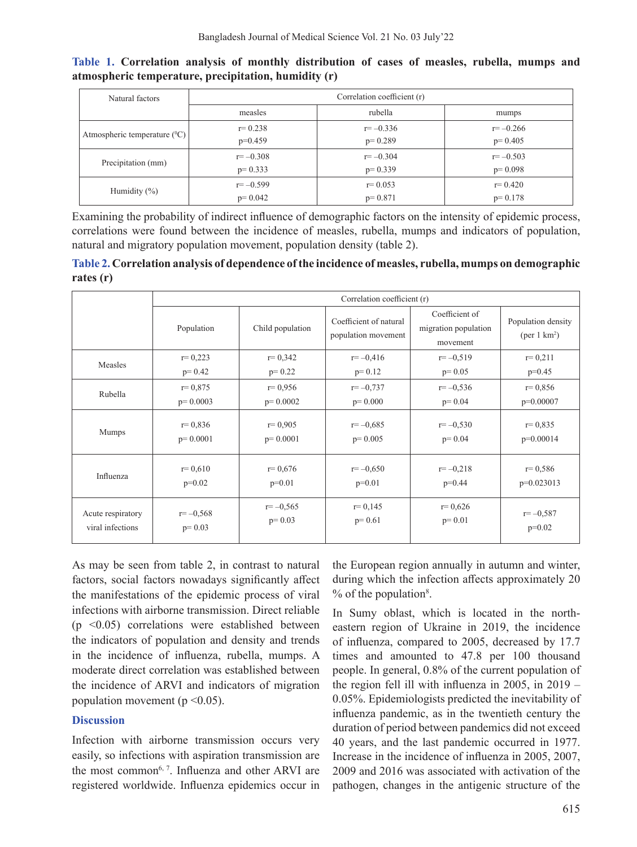| Natural factors                   | Correlation coefficient (r) |              |              |  |  |  |
|-----------------------------------|-----------------------------|--------------|--------------|--|--|--|
|                                   | measles                     | rubella      | mumps        |  |  |  |
| Atmospheric temperature $(^{0}C)$ | $r = 0.238$                 | $r = -0.336$ | $r = -0.266$ |  |  |  |
|                                   | $p=0.459$                   | $p=0.289$    | $p=0.405$    |  |  |  |
| Precipitation (mm)                | $r = -0.308$                | $r = -0.304$ | $r = -0.503$ |  |  |  |
|                                   | $p=0.333$                   | $p=0.339$    | $p=0.098$    |  |  |  |
| Humidity $(\% )$                  | $r = -0.599$                | $r = 0.053$  | $r = 0.420$  |  |  |  |
|                                   | $p=0.042$                   | $p=0.871$    | $p=0.178$    |  |  |  |

**Table 1. Correlation analysis of monthly distribution of cases of measles, rubella, mumps and atmospheric temperature, precipitation, humidity (r)**

Examining the probability of indirect influence of demographic factors on the intensity of epidemic process, correlations were found between the incidence of measles, rubella, mumps and indicators of population, natural and migratory population movement, population density (table 2).

**Table 2. Correlation analysis of dependence of the incidence of measles, rubella, mumps on demographic rates (r)**

|                   | Correlation coefficient (r) |                  |                                               |                                                    |                                                      |  |
|-------------------|-----------------------------|------------------|-----------------------------------------------|----------------------------------------------------|------------------------------------------------------|--|
|                   | Population                  | Child population | Coefficient of natural<br>population movement | Coefficient of<br>migration population<br>movement | Population density<br>$(\text{per } 1 \text{ km}^2)$ |  |
| Measles           | $r=0,223$                   | $r = 0,342$      | $r = -0.416$                                  | $r = -0.519$                                       | $r=0,211$                                            |  |
|                   | $p=0.42$                    | $p=0.22$         | $p=0.12$                                      | $p=0.05$                                           | $p=0.45$                                             |  |
| Rubella           | $r = 0,875$                 | $r = 0.956$      | $r = -0.737$                                  | $r = -0.536$                                       | $r = 0.856$                                          |  |
|                   | $p=0.0003$                  | $p=0.0002$       | $p=0.000$                                     | $p=0.04$                                           | $p=0.00007$                                          |  |
| Mumps             | $r = 0.836$                 | $r = 0.905$      | $r = -0.685$                                  | $r = -0.530$                                       | $r = 0.835$                                          |  |
|                   | $p=0.0001$                  | $p=0.0001$       | $p=0.005$                                     | $p=0.04$                                           | $p=0.00014$                                          |  |
| Influenza         | $r=0,610$                   | $r = 0.676$      | $r = -0.650$                                  | $r = -0.218$                                       | $r = 0.586$                                          |  |
|                   | $p=0.02$                    | $p=0.01$         | $p=0.01$                                      | $p=0.44$                                           | $p=0.023013$                                         |  |
| Acute respiratory | $r = -0.568$                | $r=-0.565$       | $r = 0,145$                                   | $r = 0.626$                                        | $r = -0.587$                                         |  |
| viral infections  | $p=0.03$                    | $p=0.03$         | $p=0.61$                                      | $p=0.01$                                           | $p=0.02$                                             |  |

As may be seen from table 2, in contrast to natural factors, social factors nowadays significantly affect the manifestations of the epidemic process of viral infections with airborne transmission. Direct reliable  $(p \leq 0.05)$  correlations were established between the indicators of population and density and trends in the incidence of influenza, rubella, mumps. A moderate direct correlation was established between the incidence of ARVI and indicators of migration population movement ( $p \le 0.05$ ).

### **Discussion**

Infection with airborne transmission occurs very easily, so infections with aspiration transmission are the most common<sup>6, 7</sup>. Influenza and other ARVI are registered worldwide. Influenza epidemics occur in the European region annually in autumn and winter, during which the infection affects approximately 20  $%$  of the population<sup>8</sup>.

In Sumy oblast, which is located in the northeastern region of Ukraine in 2019, the incidence of influenza, compared to 2005, decreased by 17.7 times and amounted to 47.8 per 100 thousand people. In general, 0.8% of the current population of the region fell ill with influenza in 2005, in  $2019 -$ 0.05%. Epidemiologists predicted the inevitability of influenza pandemic, as in the twentieth century the duration of period between pandemics did not exceed 40 years, and the last pandemic occurred in 1977. Increase in the incidence of influenza in 2005, 2007, 2009 and 2016 was associated with activation of the pathogen, changes in the antigenic structure of the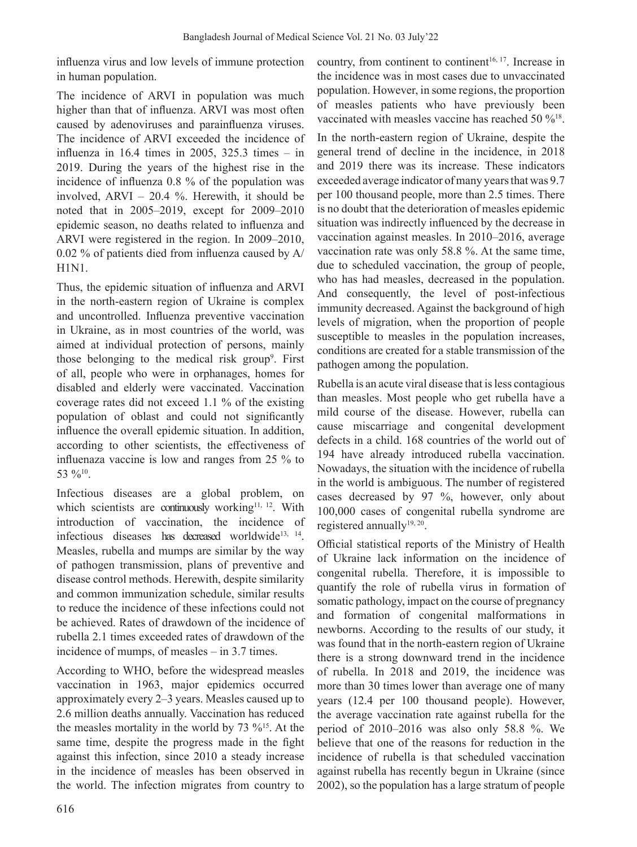influenza virus and low levels of immune protection in human population.

The incidence of ARVI in population was much higher than that of influenza. ARVI was most often caused by adenoviruses and parainfluenza viruses. The incidence of ARVI exceeded the incidence of influenza in  $16.4$  times in  $2005$ ,  $325.3$  times  $-$  in 2019. During the years of the highest rise in the incidence of influenza 0.8 % of the population was involved, ARVI  $-$  20.4 %. Herewith, it should be noted that in 2005–2019, except for 2009–2010 epidemic season, no deaths related to influenza and ARVI were registered in the region. In 2009–2010, 0.02 % of patients died from influenza caused by A/ H1N1.

Thus, the epidemic situation of influenza and ARVI in the north-eastern region of Ukraine is complex and uncontrolled. Influenza preventive vaccination in Ukraine, as in most countries of the world, was aimed at individual protection of persons, mainly those belonging to the medical risk group<sup>9</sup>. First of all, people who were in orphanages, homes for disabled and elderly were vaccinated. Vaccination coverage rates did not exceed 1.1 % of the existing population of oblast and could not significantly influence the overall epidemic situation. In addition, according to other scientists, the effectiveness of influenaza vaccine is low and ranges from 25 % to 53 %10.

Infectious diseases are a global problem, on which scientists are continuously working<sup>11, 12</sup>. With introduction of vaccination, the incidence of infectious diseases has decreased worldwide<sup>13, 14</sup>. Measles, rubella and mumps are similar by the way of pathogen transmission, plans of preventive and disease control methods. Herewith, despite similarity and common immunization schedule, similar results to reduce the incidence of these infections could not be achieved. Rates of drawdown of the incidence of rubella 2.1 times exceeded rates of drawdown of the incidence of mumps, of measles – in 3.7 times.

According to WHO, before the widespread measles vaccination in 1963, major epidemics occurred approximately every 2‒3 years. Measles caused up to 2.6 million deaths annually. Vaccination has reduced the measles mortality in the world by  $73\%$ <sup>15</sup>. At the same time, despite the progress made in the fight against this infection, since 2010 a steady increase in the incidence of measles has been observed in the world. The infection migrates from country to country, from continent to continent<sup>16, 17</sup>. Increase in the incidence was in most cases due to unvaccinated population. However, in some regions, the proportion of measles patients who have previously been vaccinated with measles vaccine has reached 50  $\%$ <sup>18</sup>.

In the north-eastern region of Ukraine, despite the general trend of decline in the incidence, in 2018 and 2019 there was its increase. These indicators exceeded average indicator of many years that was 9.7 per 100 thousand people, more than 2.5 times. There is no doubt that the deterioration of measles epidemic situation was indirectly influenced by the decrease in vaccination against measles. In 2010–2016, average vaccination rate was only 58.8 %. At the same time, due to scheduled vaccination, the group of people, who has had measles, decreased in the population. And consequently, the level of post-infectious immunity decreased. Against the background of high levels of migration, when the proportion of people susceptible to measles in the population increases, conditions are created for a stable transmission of the pathogen among the population.

Rubella is an acute viral disease that is less contagious than measles. Most people who get rubella have a mild course of the disease. However, rubella can cause miscarriage and congenital development defects in a child. 168 countries of the world out of 194 have already introduced rubella vaccination. Nowadays, the situation with the incidence of rubella in the world is ambiguous. The number of registered cases decreased by 97 %, however, only about 100,000 cases of congenital rubella syndrome are registered annually<sup>19, 20</sup>.

Official statistical reports of the Ministry of Health of Ukraine lack information on the incidence of congenital rubella. Therefore, it is impossible to quantify the role of rubella virus in formation of somatic pathology, impact on the course of pregnancy and formation of congenital malformations in newborns. According to the results of our study, it was found that in the north-eastern region of Ukraine there is a strong downward trend in the incidence of rubella. In 2018 and 2019, the incidence was more than 30 times lower than average one of many years (12.4 per 100 thousand people). However, the average vaccination rate against rubella for the period of  $2010-2016$  was also only 58.8 %. We believe that one of the reasons for reduction in the incidence of rubella is that scheduled vaccination against rubella has recently begun in Ukraine (since 2002), so the population has a large stratum of people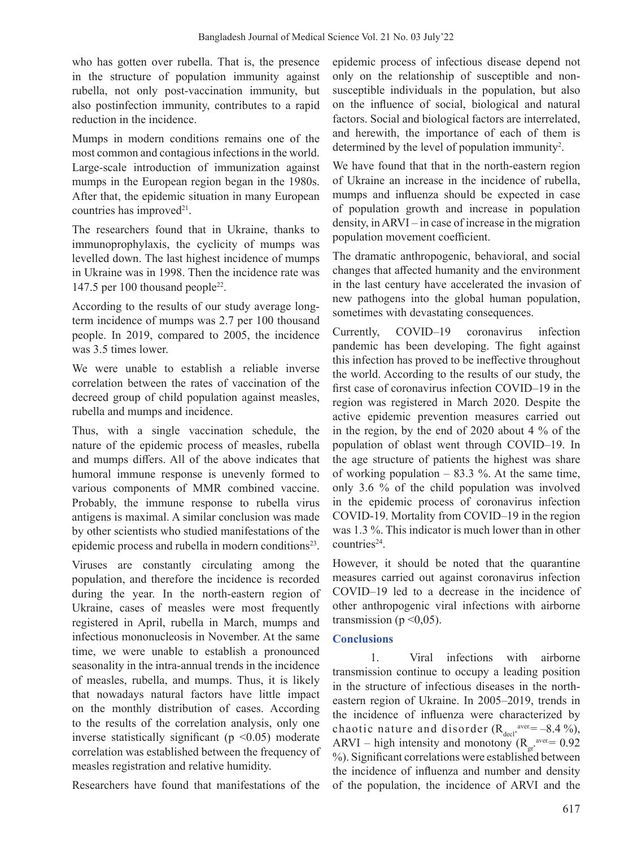who has gotten over rubella. That is, the presence in the structure of population immunity against rubella, not only post-vaccination immunity, but also postinfection immunity, contributes to a rapid reduction in the incidence.

Mumps in modern conditions remains one of the most common and contagious infections in the world. Large-scale introduction of immunization against mumps in the European region began in the 1980s. After that, the epidemic situation in many European countries has improved<sup>21</sup>.

The researchers found that in Ukraine, thanks to immunoprophylaxis, the cyclicity of mumps was levelled down. The last highest incidence of mumps in Ukraine was in 1998. Then the incidence rate was 147.5 per 100 thousand people<sup>22</sup>.

According to the results of our study average longterm incidence of mumps was 2.7 per 100 thousand people. In 2019, compared to 2005, the incidence was 3.5 times lower.

We were unable to establish a reliable inverse correlation between the rates of vaccination of the decreed group of child population against measles, rubella and mumps and incidence.

Thus, with a single vaccination schedule, the nature of the epidemic process of measles, rubella and mumps differs. All of the above indicates that humoral immune response is unevenly formed to various components of MMR combined vaccine. Probably, the immune response to rubella virus antigens is maximal. A similar conclusion was made by other scientists who studied manifestations of the epidemic process and rubella in modern conditions<sup>23</sup>.

Viruses are constantly circulating among the population, and therefore the incidence is recorded during the year. In the north-eastern region of Ukraine, cases of measles were most frequently registered in April, rubella in March, mumps and infectious mononucleosis in November. At the same time, we were unable to establish a pronounced seasonality in the intra-annual trends in the incidence of measles, rubella, and mumps. Thus, it is likely that nowadays natural factors have little impact on the monthly distribution of cases. According to the results of the correlation analysis, only one inverse statistically significant ( $p \le 0.05$ ) moderate correlation was established between the frequency of measles registration and relative humidity.

Researchers have found that manifestations of the

epidemic process of infectious disease depend not only on the relationship of susceptible and nonsusceptible individuals in the population, but also on the influence of social, biological and natural factors. Social and biological factors are interrelated, and herewith, the importance of each of them is determined by the level of population immunity<sup>2</sup>.

We have found that that in the north-eastern region of Ukraine an increase in the incidence of rubella, mumps and influenza should be expected in case of population growth and increase in population density, in  $ARVI$  – in case of increase in the migration population movement coefficient.

The dramatic anthropogenic, behavioral, and social changes that affected humanity and the environment in the last century have accelerated the invasion of new pathogens into the global human population, sometimes with devastating consequences.

Currently, COVID‒19 coronavirus infection pandemic has been developing. The fight against this infection has proved to be ineffective throughout the world. According to the results of our study, the first case of coronavirus infection COVID-19 in the region was registered in March 2020. Despite the active epidemic prevention measures carried out in the region, by the end of 2020 about 4 % of the population of oblast went through COVID–19. In the age structure of patients the highest was share of working population  $-83.3$  %. At the same time, only 3.6 % of the child population was involved in the epidemic process of coronavirus infection COVID-19. Mortality from COVID-19 in the region was 1.3 %. This indicator is much lower than in other countries24.

However, it should be noted that the quarantine measures carried out against coronavirus infection COVID‒19 led to a decrease in the incidence of other anthropogenic viral infections with airborne transmission ( $p \le 0.05$ ).

# **Conclusions**

1. Viral infections with airborne transmission continue to occupy a leading position in the structure of infectious diseases in the northeastern region of Ukraine. In 2005-2019, trends in the incidence of influenza were characterized by chaotic nature and disorder  $(R_{\text{decl}}^{\text{aver}}= -8.4 \%)$ ARVI – high intensity and monotony ( $R_{gr}^{\text{aver}} = 0.92$ ) %). Significant correlations were established between the incidence of influenza and number and density of the population, the incidence of ARVI and the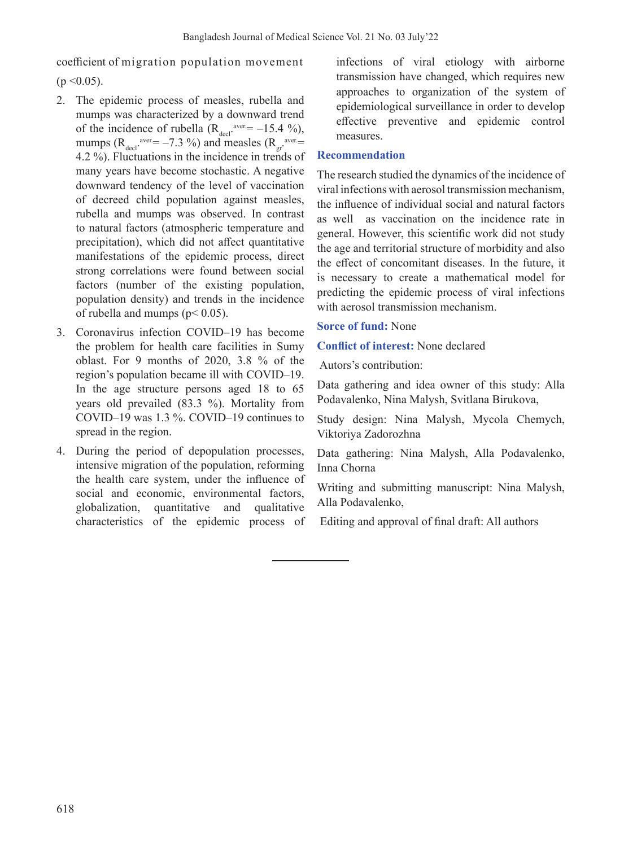coefficient of migration population movement  $(p \le 0.05)$ .

- 2. The epidemic process of measles, rubella and mumps was characterized by a downward trend of the incidence of rubella  $(R_{\text{decl}}^{\text{aver}} = -15.4 \%)$ , mumps ( $R_{\text{decl}}$ <sup>aver.</sup>= -7.3 %) and measles ( $R_{\text{gr}}$ <sup>aver.</sup>= 4.2 %). Fluctuations in the incidence in trends of many years have become stochastic. A negative downward tendency of the level of vaccination of decreed child population against measles, rubella and mumps was observed. In contrast to natural factors (atmospheric temperature and precipitation), which did not affect quantitative manifestations of the epidemic process, direct strong correlations were found between social factors (number of the existing population, population density) and trends in the incidence of rubella and mumps ( $p$  < 0.05).
- 3. Coronavirus infection COVID–19 has become the problem for health care facilities in Sumy oblast. For 9 months of 2020, 3.8 % of the region's population became ill with COVID–19. In the age structure persons aged 18 to 65 years old prevailed (83.3 %). Mortality from COVID‒19 was 1.3 %. COVID‒19 continues to spread in the region.
- 4. During the period of depopulation processes, intensive migration of the population, reforming the health care system, under the influence of social and economic, environmental factors, globalization, quantitative and qualitative characteristics of the epidemic process of

infections of viral etiology with airborne transmission have changed, which requires new approaches to organization of the system of epidemiological surveillance in order to develop effective preventive and epidemic control measures.

## **Recommendation**

The research studied the dynamics of the incidence of viral infections with aerosol transmission mechanism, the influence of individual social and natural factors as well as vaccination on the incidence rate in general. However, this scientific work did not study the age and territorial structure of morbidity and also the effect of concomitant diseases. In the future, it is necessary to create a mathematical model for predicting the epidemic process of viral infections with aerosol transmission mechanism.

### **Sorce of fund:** None

### **Conflict of interest:** None declared

Autors's contribution:

Data gathering and idea owner of this study: Alla Podavalenko, Nina Malysh, Svitlana Birukova,

Study design: Nina Malysh, Mycola Chemych, Viktoriya Zadorozhna

Data gathering: Nina Malysh, Alla Podavalenko, Inna Chorna

Writing and submitting manuscript: Nina Malysh, Alla Podavalenko,

Editing and approval of final draft: All authors